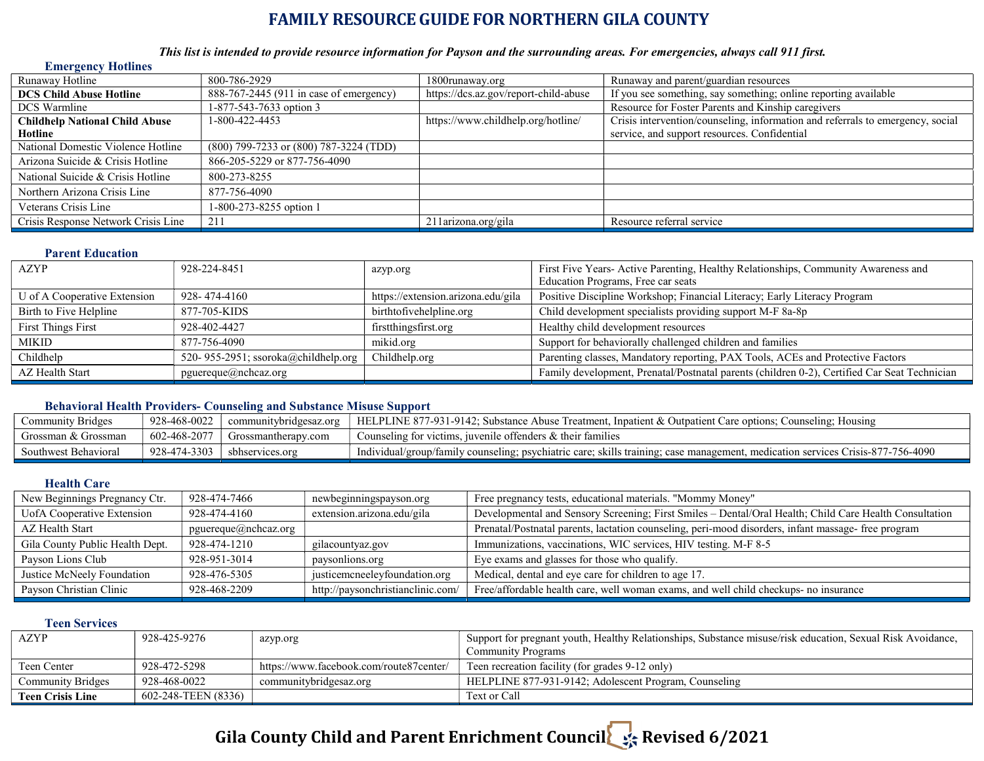### FAMILY RESOURCE GUIDE FOR NORTHERN GILA COUNTY

### This list is intended to provide resource information for Payson and the surrounding areas. For emergencies, always call 911 first.

| <b>Emergency Hotlines</b>             |                                         |                                       |                                                                                |
|---------------------------------------|-----------------------------------------|---------------------------------------|--------------------------------------------------------------------------------|
| Runaway Hotline                       | 800-786-2929                            | 1800runaway.org                       | Runaway and parent/guardian resources                                          |
| <b>DCS Child Abuse Hotline</b>        | 888-767-2445 (911 in case of emergency) | https://dcs.az.gov/report-child-abuse | If you see something, say something; online reporting available                |
| <b>DCS</b> Warmline                   | 1-877-543-7633 option 3                 |                                       | Resource for Foster Parents and Kinship caregivers                             |
| <b>Childhelp National Child Abuse</b> | 1-800-422-4453                          | https://www.childhelp.org/hotline/    | Crisis intervention/counseling, information and referrals to emergency, social |
| Hotline                               |                                         |                                       | service, and support resources. Confidential                                   |
| National Domestic Violence Hotline    | (800) 799-7233 or (800) 787-3224 (TDD)  |                                       |                                                                                |
| Arizona Suicide & Crisis Hotline      | 866-205-5229 or 877-756-4090            |                                       |                                                                                |
| National Suicide & Crisis Hotline     | 800-273-8255                            |                                       |                                                                                |
| Northern Arizona Crisis Line          | 877-756-4090                            |                                       |                                                                                |
| Veterans Crisis Line                  | 1-800-273-8255 option 1                 |                                       |                                                                                |
| Crisis Response Network Crisis Line   | 211                                     | 211arizona.org/gila                   | Resource referral service                                                      |

#### Parent Education

| AZYP                         | 928-224-8451                        | azyp.org                           | First Five Years- Active Parenting, Healthy Relationships, Community Awareness and           |
|------------------------------|-------------------------------------|------------------------------------|----------------------------------------------------------------------------------------------|
|                              |                                     |                                    | Education Programs, Free car seats                                                           |
| U of A Cooperative Extension | 928-474-4160                        | https://extension.arizona.edu/gila | Positive Discipline Workshop; Financial Literacy; Early Literacy Program                     |
| Birth to Five Helpline       | 877-705-KIDS                        | birthtofivehelpline.org            | Child development specialists providing support M-F 8a-8p                                    |
| <b>First Things First</b>    | 928-402-4427                        | first things first.org             | Healthy child development resources                                                          |
| MIKID                        | 877-756-4090                        | mikid.org                          | Support for behaviorally challenged children and families                                    |
| Childhelp                    | 520-955-2951; ssoroka@childhelp.org | Childhelp.org                      | Parenting classes, Mandatory reporting, PAX Tools, ACEs and Protective Factors               |
| AZ Health Start              | $p$ guereque $(a)$ nchcaz.org       |                                    | Family development, Prenatal/Postnatal parents (children 0-2), Certified Car Seat Technician |
|                              |                                     |                                    |                                                                                              |

### Behavioral Health Providers- Counseling and Substance Misuse Support

| Community Bridges    | 928-468-0022 | communitybridgesaz.org | --<br>HELPLINE 877-931-9142; Substance Abuse Treatment, Inpatient & Outpatient Care options; Counseling; Housing                |
|----------------------|--------------|------------------------|---------------------------------------------------------------------------------------------------------------------------------|
| Grossman & Grossman  | 602-468-2077 | Grossmantherapy.com    | Counseling for victims, juvenile offenders & their families                                                                     |
| Southwest Behavioral | 928-474-3303 | sbhservices.org        | Individual/group/family counseling; psychiatric care; skills training; case management, medication services Crisis-877-756-4090 |

### Health Care

| newbeginningspayson.org           | Free pregnancy tests, educational materials. "Mommy Money"                                             |
|-----------------------------------|--------------------------------------------------------------------------------------------------------|
| extension.arizona.edu/gila        | Developmental and Sensory Screening; First Smiles - Dental/Oral Health; Child Care Health Consultation |
|                                   | Prenatal/Postnatal parents, lactation counseling, peri-mood disorders, infant massage- free program    |
| gilacountyaz.gov                  | Immunizations, vaccinations, WIC services, HIV testing. M-F 8-5                                        |
| paysonlions.org                   | Eye exams and glasses for those who qualify.                                                           |
| justicemcneeleyfoundation.org     | Medical, dental and eye care for children to age 17.                                                   |
| http://paysonchristianclinic.com/ | Free/affordable health care, well woman exams, and well child checkups- no insurance                   |
|                                   | pguereque@nchcaz.org                                                                                   |

### Teen Services

| AZYP                     | 928-425-9276        | azyp.org                                | Support for pregnant youth, Healthy Relationships, Substance misuse/risk education, Sexual Risk Avoidance, |
|--------------------------|---------------------|-----------------------------------------|------------------------------------------------------------------------------------------------------------|
|                          |                     |                                         | <b>Community Programs</b>                                                                                  |
| Teen Center              | 928-472-5298        | https://www.facebook.com/route87center/ | Teen recreation facility (for grades 9-12 only)                                                            |
| <b>Community Bridges</b> | 928-468-0022        | communitybridgesaz.org                  | HELPLINE 877-931-9142; Adolescent Program, Counseling                                                      |
| <b>Teen Crisis Line</b>  | 602-248-TEEN (8336) |                                         | Text or Call                                                                                               |

## Gila County Child and Parent Enrichment Council Revised 6/2021